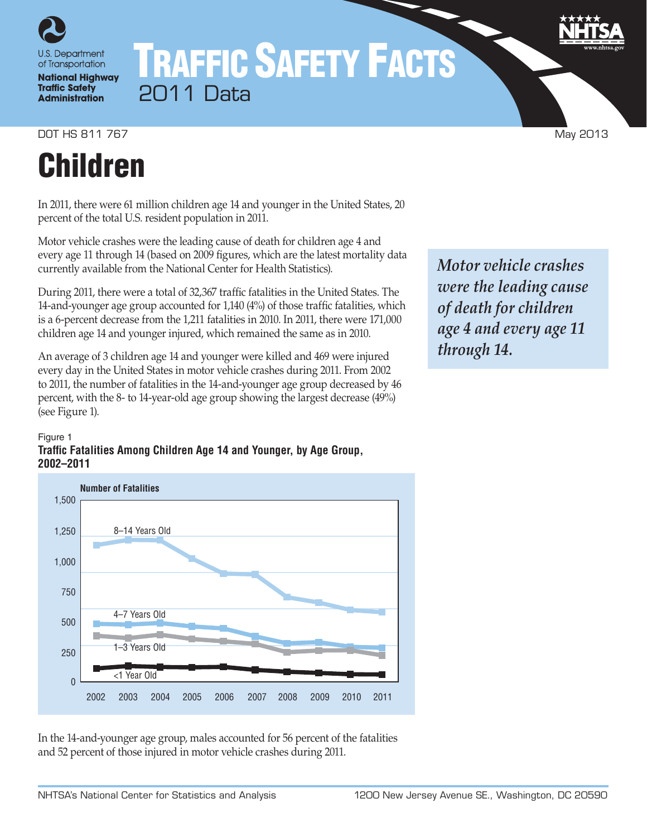

## TRAFFIC SAFETY FACTS 2011 Data

DOT HS 811 767 May 2013

# Children

In 2011, there were 61 million children age 14 and younger in the United States, 20 percent of the total U.S. resident population in 2011.

Motor vehicle crashes were the leading cause of death for children age 4 and every age 11 through 14 (based on 2009 figures, which are the latest mortality data currently available from the National Center for Health Statistics).

During 2011, there were a total of 32,367 traffic fatalities in the United States. The 14-and-younger age group accounted for 1,140 (4%) of those traffic fatalities, which is a 6-percent decrease from the 1,211 fatalities in 2010. In 2011, there were 171,000 children age 14 and younger injured, which remained the same as in 2010.

An average of 3 children age 14 and younger were killed and 469 were injured every day in the United States in motor vehicle crashes during 2011. From 2002 to 2011, the number of fatalities in the 14-and-younger age group decreased by 46 percent, with the 8- to 14-year-old age group showing the largest decrease (49%) (see Figure 1).

#### Figure 1 **Traffic Fatalities Among Children Age 14 and Younger, by Age Group, 2002–2011**



In the 14-and-younger age group, males accounted for 56 percent of the fatalities and 52 percent of those injured in motor vehicle crashes during 2011.

*Motor vehicle crashes were the leading cause of death for children age 4 and every age 11 through 14.*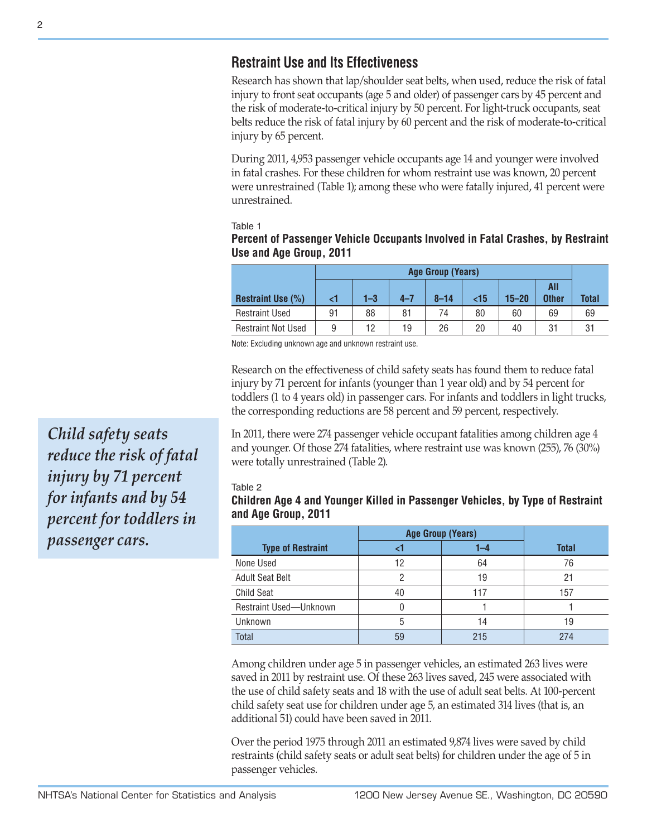## **Restraint Use and Its Effectiveness**

Research has shown that lap/shoulder seat belts, when used, reduce the risk of fatal injury to front seat occupants (age 5 and older) of passenger cars by 45 percent and the risk of moderate-to-critical injury by 50 percent. For light-truck occupants, seat belts reduce the risk of fatal injury by 60 percent and the risk of moderate-to-critical injury by 65 percent.

During 2011, 4,953 passenger vehicle occupants age 14 and younger were involved in fatal crashes. For these children for whom restraint use was known, 20 percent were unrestrained (Table 1); among these who were fatally injured, 41 percent were unrestrained.

Table 1

### **Percent of Passenger Vehicle Occupants Involved in Fatal Crashes, by Restraint Use and Age Group, 2011**

|                           | <b>Age Group (Years)</b> |         |         |          |           |           |                     |              |
|---------------------------|--------------------------|---------|---------|----------|-----------|-----------|---------------------|--------------|
| <b>Restraint Use (%)</b>  | ا>                       | $1 - 3$ | $4 - 7$ | $8 - 14$ | $\leq$ 15 | $15 - 20$ | All<br><b>Other</b> | <b>Total</b> |
| <b>Restraint Used</b>     | 91                       | 88      | 81      | 74       | 80        | 60        | 69                  | 69           |
| <b>Restraint Not Used</b> | 9                        | 12      | 19      | 26       | 20        | 40        | 31                  | 31           |

Note: Excluding unknown age and unknown restraint use.

Research on the effectiveness of child safety seats has found them to reduce fatal injury by 71 percent for infants (younger than 1 year old) and by 54 percent for toddlers (1 to 4 years old) in passenger cars. For infants and toddlers in light trucks, the corresponding reductions are 58 percent and 59 percent, respectively.

In 2011, there were 274 passenger vehicle occupant fatalities among children age 4 and younger. Of those 274 fatalities, where restraint use was known (255), 76 (30%) were totally unrestrained (Table 2).

#### Table 2

### **Children Age 4 and Younger Killed in Passenger Vehicles, by Type of Restraint and Age Group, 2011**

|                          | <b>Age Group (Years)</b> |     |              |
|--------------------------|--------------------------|-----|--------------|
| <b>Type of Restraint</b> |                          | 1–4 | <b>Total</b> |
| None Used                | 12                       | 64  | 76           |
| <b>Adult Seat Belt</b>   |                          | 19  | 21           |
| <b>Child Seat</b>        | 40                       | 117 | 157          |
| Restraint Used-Unknown   |                          |     |              |
| Unknown                  | 5                        | 14  | 19           |
| <b>Total</b>             | 59                       | 215 | 274          |

Among children under age 5 in passenger vehicles, an estimated 263 lives were saved in 2011 by restraint use. Of these 263 lives saved, 245 were associated with the use of child safety seats and 18 with the use of adult seat belts. At 100-percent child safety seat use for children under age 5, an estimated 314 lives (that is, an additional 51) could have been saved in 2011.

Over the period 1975 through 2011 an estimated 9,874 lives were saved by child restraints (child safety seats or adult seat belts) for children under the age of 5 in passenger vehicles.

*Child safety seats reduce the risk of fatal injury by 71 percent for infants and by 54 percent for toddlers in passenger cars.*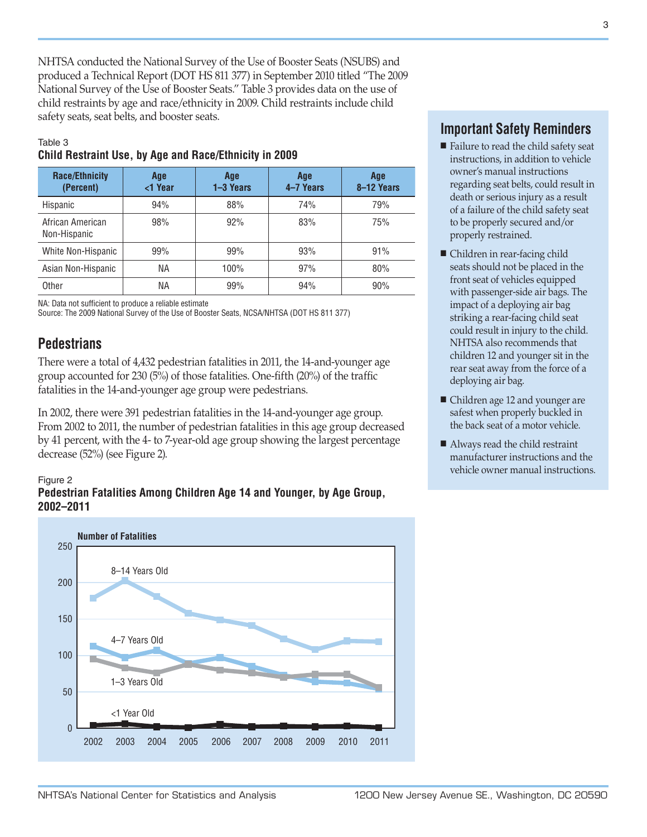NHTSA conducted the National Survey of the Use of Booster Seats (NSUBS) and produced a Technical Report (DOT HS 811 377) in September 2010 titled "The 2009 National Survey of the Use of Booster Seats." Table 3 provides data on the use of child restraints by age and race/ethnicity in 2009. Child restraints include child safety seats, seat belts, and booster seats.

#### Table 3

#### **Child Restraint Use, by Age and Race/Ethnicity in 2009**

| <b>Race/Ethnicity</b><br>(Percent) | Age<br><1 Year | Age<br>1-3 Years | Age<br>4-7 Years | Age<br>8-12 Years |
|------------------------------------|----------------|------------------|------------------|-------------------|
| Hispanic                           | 94%            | 88%              | 74%              | 79%               |
| African American<br>Non-Hispanic   | 98%            | 92%              | 83%              | 75%               |
| White Non-Hispanic                 | 99%            | 99%              | 93%              | 91%               |
| Asian Non-Hispanic                 | ΝA             | 100%             | 97%              | 80%               |
| Other                              | ΝA             | 99%              | 94%              | 90%               |

NA: Data not sufficient to produce a reliable estimate

Source: The 2009 National Survey of the Use of Booster Seats, NCSA/NHTSA (DOT HS 811 377)

## **Pedestrians**

There were a total of 4,432 pedestrian fatalities in 2011, the 14-and-younger age group accounted for 230 (5%) of those fatalities. One-fifth (20%) of the traffic fatalities in the 14-and-younger age group were pedestrians.

In 2002, there were 391 pedestrian fatalities in the 14-and-younger age group. From 2002 to 2011, the number of pedestrian fatalities in this age group decreased by 41 percent, with the 4- to 7-year-old age group showing the largest percentage decrease (52%) (see Figure 2).

#### Figure 2





## **Important Safety Reminders**

- Failure to read the child safety seat instructions, in addition to vehicle owner's manual instructions regarding seat belts, could result in death or serious injury as a result of a failure of the child safety seat to be properly secured and/or properly restrained.
- Children in rear-facing child seats should not be placed in the front seat of vehicles equipped with passenger-side air bags. The impact of a deploying air bag striking a rear-facing child seat could result in injury to the child. NHTSA also recommends that children 12 and younger sit in the rear seat away from the force of a deploying air bag.
- Children age 12 and younger are safest when properly buckled in the back seat of a motor vehicle.
- Always read the child restraint manufacturer instructions and the vehicle owner manual instructions.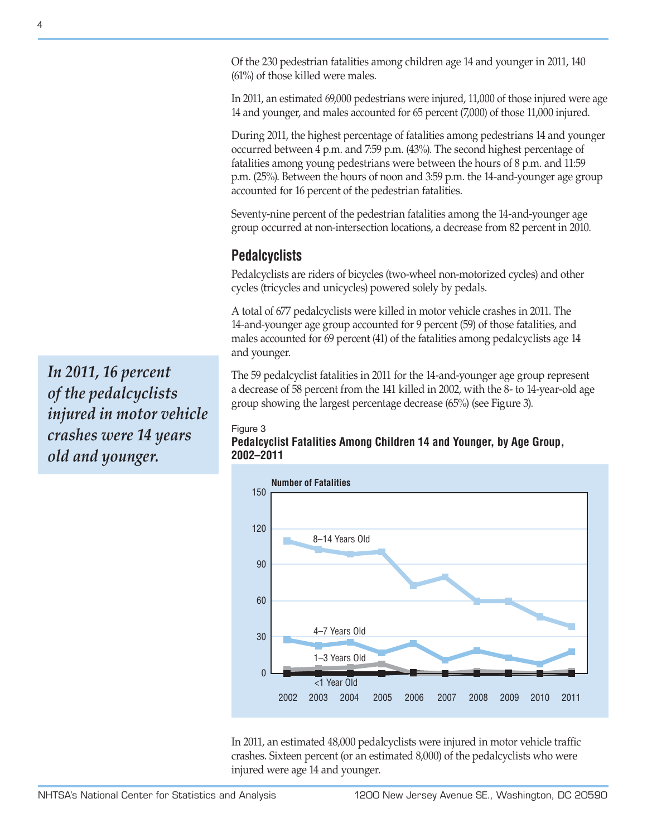Of the 230 pedestrian fatalities among children age 14 and younger in 2011, 140 (61%) of those killed were males.

In 2011, an estimated 69,000 pedestrians were injured, 11,000 of those injured were age 14 and younger, and males accounted for 65 percent (7,000) of those 11,000 injured.

During 2011, the highest percentage of fatalities among pedestrians 14 and younger occurred between 4 p.m. and 7:59 p.m. (43%). The second highest percentage of fatalities among young pedestrians were between the hours of 8 p.m. and 11:59 p.m. (25%). Between the hours of noon and 3:59 p.m. the 14-and-younger age group accounted for 16 percent of the pedestrian fatalities.

Seventy-nine percent of the pedestrian fatalities among the 14-and-younger age group occurred at non-intersection locations, a decrease from 82 percent in 2010.

## **Pedalcyclists**

Pedalcyclists are riders of bicycles (two-wheel non-motorized cycles) and other cycles (tricycles and unicycles) powered solely by pedals.

A total of 677 pedalcyclists were killed in motor vehicle crashes in 2011. The 14-and-younger age group accounted for 9 percent (59) of those fatalities, and males accounted for 69 percent (41) of the fatalities among pedalcyclists age 14 and younger.

The 59 pedalcyclist fatalities in 2011 for the 14-and-younger age group represent a decrease of 58 percent from the 141 killed in 2002, with the 8- to 14-year-old age group showing the largest percentage decrease (65%) (see Figure 3).

#### Figure 3

**Pedalcyclist Fatalities Among Children 14 and Younger, by Age Group, 2002–2011**



In 2011, an estimated 48,000 pedalcyclists were injured in motor vehicle traffic crashes. Sixteen percent (or an estimated 8,000) of the pedalcyclists who were injured were age 14 and younger.

*In 2011, 16 percent of the pedalcyclists injured in motor vehicle crashes were 14 years old and younger.*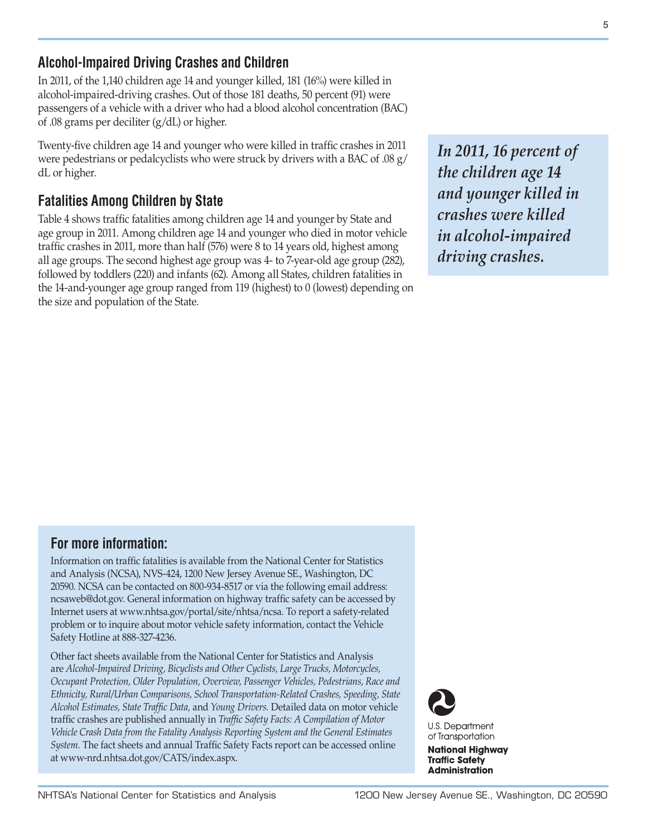## **Alcohol-Impaired Driving Crashes and Children**

In 2011, of the 1,140 children age 14 and younger killed, 181 (16%) were killed in alcohol-impaired-driving crashes. Out of those 181 deaths, 50 percent (91) were passengers of a vehicle with a driver who had a blood alcohol concentration (BAC) of .08 grams per deciliter (g/dL) or higher.

Twenty-five children age 14 and younger who were killed in traffic crashes in 2011 were pedestrians or pedalcyclists who were struck by drivers with a BAC of .08 g/ dL or higher.

## **Fatalities Among Children by State**

Table 4 shows traffic fatalities among children age 14 and younger by State and age group in 2011. Among children age 14 and younger who died in motor vehicle traffic crashes in 2011, more than half (576) were 8 to 14 years old, highest among all age groups. The second highest age group was 4- to 7-year-old age group (282), followed by toddlers (220) and infants (62). Among all States, children fatalities in the 14-and-younger age group ranged from 119 (highest) to 0 (lowest) depending on the size and population of the State.

*In 2011, 16 percent of the children age 14 and younger killed in crashes were killed in alcohol-impaired driving crashes.*

## **For more information:**

Information on traffic fatalities is available from the National Center for Statistics and Analysis (NCSA), NVS-424, 1200 New Jersey Avenue SE., Washington, DC 20590. NCSA can be contacted on 800-934-8517 or via the following email address: [ncsaweb@dot.gov](mailto:ncsaweb%40dot.gov?subject=Request%3A%20Information%20on%20traffic%20fatalities). General information on highway traffic safety can be accessed by Internet users at [www.nhtsa.gov/portal/site/nhtsa/ncsa.](www.nhtsa.gov/portal/site/nhtsa/ncsa) To report a safety-related problem or to inquire about motor vehicle safety information, contact the Vehicle Safety Hotline at 888-327-4236.

Other fact sheets available from the National Center for Statistics and Analysis are *Alcohol-Impaired Driving, Bicyclists and Other Cyclists, Large Trucks, Motorcycles, Occupant Protection, Older Population, Overview, Passenger Vehicles, Pedestrians, Race and Ethnicity, Rural/Urban Comparisons, School Transportation-Related Crashes, Speeding, State Alcohol Estimates, State Traffic Data,* and *Young Drivers.* Detailed data on motor vehicle traffic crashes are published annually in *Traffic Safety Facts: A Compilation of Motor Vehicle Crash Data from the Fatality Analysis Reporting System and the General Estimates System.* The fact sheets and annual Traffic Safety Facts report can be accessed online at [www-nrd.nhtsa.dot.gov/CATS/index.aspx.](http://www-nrd.nhtsa.dot.gov/CATS/index.aspx)

**U.S. Department** of Transportation

**National Highway Traffic Safety Administration**